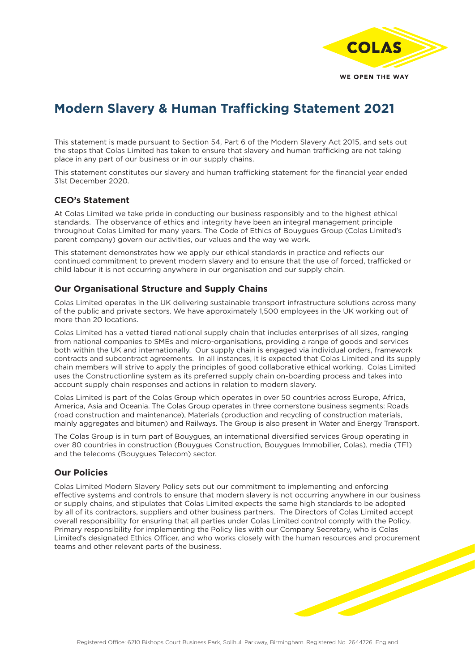

# **Modern Slavery & Human Trafficking Statement 2021**

This statement is made pursuant to Section 54, Part 6 of the Modern Slavery Act 2015, and sets out the steps that Colas Limited has taken to ensure that slavery and human trafficking are not taking place in any part of our business or in our supply chains.

This statement constitutes our slavery and human trafficking statement for the financial year ended 31st December 2020.

### **CEO's Statement**

At Colas Limited we take pride in conducting our business responsibly and to the highest ethical standards. The observance of ethics and integrity have been an integral management principle throughout Colas Limited for many years. The Code of Ethics of Bouygues Group (Colas Limited's parent company) govern our activities, our values and the way we work.

This statement demonstrates how we apply our ethical standards in practice and reflects our continued commitment to prevent modern slavery and to ensure that the use of forced, trafficked or child labour it is not occurring anywhere in our organisation and our supply chain.

# **Our Organisational Structure and Supply Chains**

Colas Limited operates in the UK delivering sustainable transport infrastructure solutions across many of the public and private sectors. We have approximately 1,500 employees in the UK working out of more than 20 locations.

Colas Limited has a vetted tiered national supply chain that includes enterprises of all sizes, ranging from national companies to SMEs and micro-organisations, providing a range of goods and services both within the UK and internationally. Our supply chain is engaged via individual orders, framework contracts and subcontract agreements. In all instances, it is expected that Colas Limited and its supply chain members will strive to apply the principles of good collaborative ethical working. Colas Limited uses the Constructionline system as its preferred supply chain on-boarding process and takes into account supply chain responses and actions in relation to modern slavery.

Colas Limited is part of the Colas Group which operates in over 50 countries across Europe, Africa, America, Asia and Oceania. The Colas Group operates in three cornerstone business segments: Roads (road construction and maintenance), Materials (production and recycling of construction materials, mainly aggregates and bitumen) and Railways. The Group is also present in Water and Energy Transport.

The Colas Group is in turn part of Bouygues, an international diversified services Group operating in over 80 countries in construction (Bouygues Construction, Bouygues Immobilier, Colas), media (TF1) and the telecoms (Bouygues Telecom) sector.

### **Our Policies**

Colas Limited Modern Slavery Policy sets out our commitment to implementing and enforcing effective systems and controls to ensure that modern slavery is not occurring anywhere in our business or supply chains, and stipulates that Colas Limited expects the same high standards to be adopted by all of its contractors, suppliers and other business partners. The Directors of Colas Limited accept overall responsibility for ensuring that all parties under Colas Limited control comply with the Policy. Primary responsibility for implementing the Policy lies with our Company Secretary, who is Colas Limited's designated Ethics Officer, and who works closely with the human resources and procurement teams and other relevant parts of the business.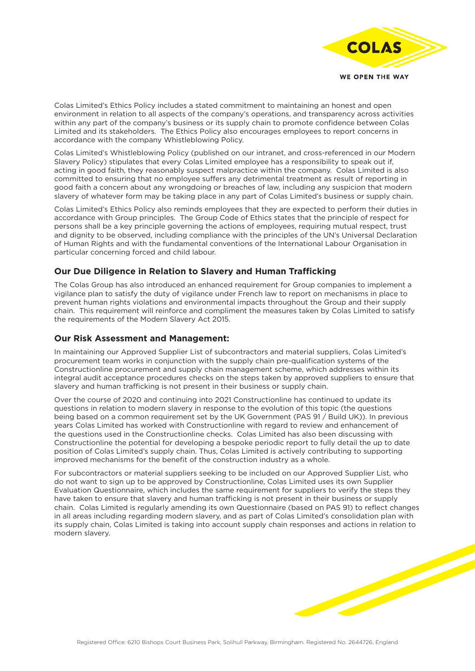

Colas Limited's Ethics Policy includes a stated commitment to maintaining an honest and open environment in relation to all aspects of the company's operations, and transparency across activities within any part of the company's business or its supply chain to promote confidence between Colas Limited and its stakeholders. The Ethics Policy also encourages employees to report concerns in accordance with the company Whistleblowing Policy.

Colas Limited's Whistleblowing Policy (published on our intranet, and cross-referenced in our Modern Slavery Policy) stipulates that every Colas Limited employee has a responsibility to speak out if, acting in good faith, they reasonably suspect malpractice within the company. Colas Limited is also committed to ensuring that no employee suffers any detrimental treatment as result of reporting in good faith a concern about any wrongdoing or breaches of law, including any suspicion that modern slavery of whatever form may be taking place in any part of Colas Limited's business or supply chain.

Colas Limited's Ethics Policy also reminds employees that they are expected to perform their duties in accordance with Group principles. The Group Code of Ethics states that the principle of respect for persons shall be a key principle governing the actions of employees, requiring mutual respect, trust and dignity to be observed, including compliance with the principles of the UN's Universal Declaration of Human Rights and with the fundamental conventions of the International Labour Organisation in particular concerning forced and child labour.

# **Our Due Diligence in Relation to Slavery and Human Trafficking**

The Colas Group has also introduced an enhanced requirement for Group companies to implement a vigilance plan to satisfy the duty of vigilance under French law to report on mechanisms in place to prevent human rights violations and environmental impacts throughout the Group and their supply chain. This requirement will reinforce and compliment the measures taken by Colas Limited to satisfy the requirements of the Modern Slavery Act 2015.

#### **Our Risk Assessment and Management:**

In maintaining our Approved Supplier List of subcontractors and material suppliers, Colas Limited's procurement team works in conjunction with the supply chain pre-qualification systems of the Constructionline procurement and supply chain management scheme, which addresses within its integral audit acceptance procedures checks on the steps taken by approved suppliers to ensure that slavery and human trafficking is not present in their business or supply chain.

Over the course of 2020 and continuing into 2021 Constructionline has continued to update its questions in relation to modern slavery in response to the evolution of this topic (the questions being based on a common requirement set by the UK Government (PAS 91 / Build UK)). In previous years Colas Limited has worked with Constructionline with regard to review and enhancement of the questions used in the Constructionline checks. Colas Limited has also been discussing with Constructionline the potential for developing a bespoke periodic report to fully detail the up to date position of Colas Limited's supply chain. Thus, Colas Limited is actively contributing to supporting improved mechanisms for the benefit of the construction industry as a whole.

For subcontractors or material suppliers seeking to be included on our Approved Supplier List, who do not want to sign up to be approved by Constructionline, Colas Limited uses its own Supplier Evaluation Questionnaire, which includes the same requirement for suppliers to verify the steps they have taken to ensure that slavery and human trafficking is not present in their business or supply chain. Colas Limited is regularly amending its own Questionnaire (based on PAS 91) to reflect changes in all areas including regarding modern slavery, and as part of Colas Limited's consolidation plan with its supply chain, Colas Limited is taking into account supply chain responses and actions in relation to modern slavery.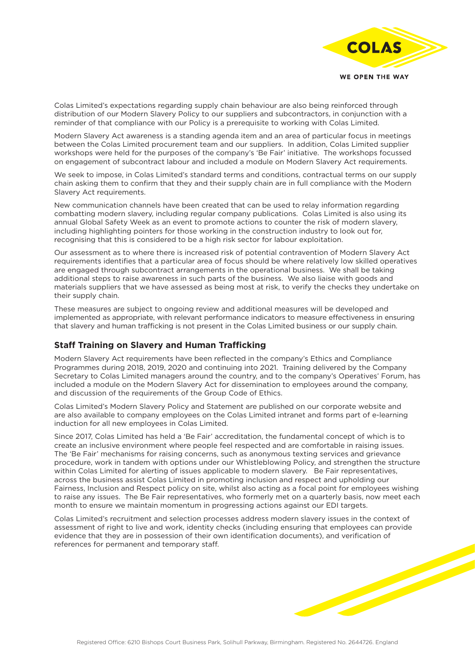

Colas Limited's expectations regarding supply chain behaviour are also being reinforced through distribution of our Modern Slavery Policy to our suppliers and subcontractors, in conjunction with a reminder of that compliance with our Policy is a prerequisite to working with Colas Limited.

Modern Slavery Act awareness is a standing agenda item and an area of particular focus in meetings between the Colas Limited procurement team and our suppliers. In addition, Colas Limited supplier workshops were held for the purposes of the company's 'Be Fair' initiative. The workshops focussed on engagement of subcontract labour and included a module on Modern Slavery Act requirements.

We seek to impose, in Colas Limited's standard terms and conditions, contractual terms on our supply chain asking them to confirm that they and their supply chain are in full compliance with the Modern Slavery Act requirements.

New communication channels have been created that can be used to relay information regarding combatting modern slavery, including regular company publications. Colas Limited is also using its annual Global Safety Week as an event to promote actions to counter the risk of modern slavery, including highlighting pointers for those working in the construction industry to look out for, recognising that this is considered to be a high risk sector for labour exploitation.

Our assessment as to where there is increased risk of potential contravention of Modern Slavery Act requirements identifies that a particular area of focus should be where relatively low skilled operatives are engaged through subcontract arrangements in the operational business. We shall be taking additional steps to raise awareness in such parts of the business. We also liaise with goods and materials suppliers that we have assessed as being most at risk, to verify the checks they undertake on their supply chain.

These measures are subject to ongoing review and additional measures will be developed and implemented as appropriate, with relevant performance indicators to measure effectiveness in ensuring that slavery and human trafficking is not present in the Colas Limited business or our supply chain.

### **Staff Training on Slavery and Human Trafficking**

Modern Slavery Act requirements have been reflected in the company's Ethics and Compliance Programmes during 2018, 2019, 2020 and continuing into 2021. Training delivered by the Company Secretary to Colas Limited managers around the country, and to the company's Operatives' Forum, has included a module on the Modern Slavery Act for dissemination to employees around the company, and discussion of the requirements of the Group Code of Ethics.

Colas Limited's Modern Slavery Policy and Statement are published on our corporate website and are also available to company employees on the Colas Limited intranet and forms part of e-learning induction for all new employees in Colas Limited.

Since 2017, Colas Limited has held a 'Be Fair' accreditation, the fundamental concept of which is to create an inclusive environment where people feel respected and are comfortable in raising issues. The 'Be Fair' mechanisms for raising concerns, such as anonymous texting services and grievance procedure, work in tandem with options under our Whistleblowing Policy, and strengthen the structure within Colas Limited for alerting of issues applicable to modern slavery. Be Fair representatives, across the business assist Colas Limited in promoting inclusion and respect and upholding our Fairness, Inclusion and Respect policy on site, whilst also acting as a focal point for employees wishing to raise any issues. The Be Fair representatives, who formerly met on a quarterly basis, now meet each month to ensure we maintain momentum in progressing actions against our EDI targets.

Colas Limited's recruitment and selection processes address modern slavery issues in the context of assessment of right to live and work, identity checks (including ensuring that employees can provide evidence that they are in possession of their own identification documents), and verification of references for permanent and temporary staff.